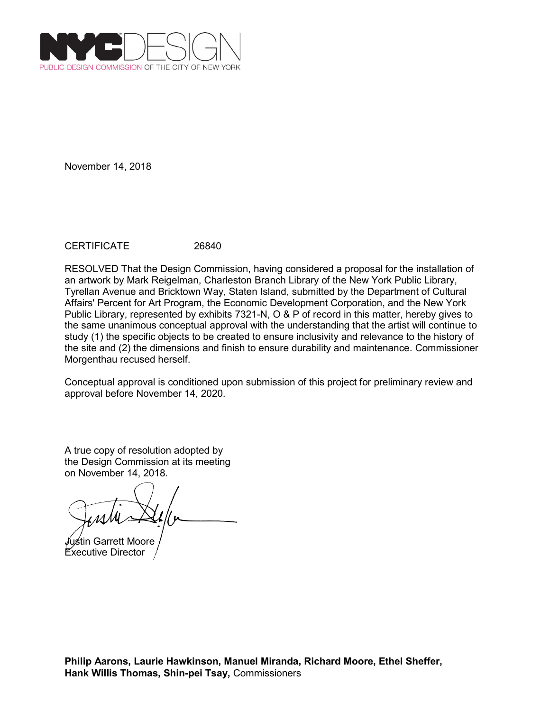

CERTIFICATE 26840

RESOLVED That the Design Commission, having considered a proposal for the installation of an artwork by Mark Reigelman, Charleston Branch Library of the New York Public Library, Tyrellan Avenue and Bricktown Way, Staten Island, submitted by the Department of Cultural Affairs' Percent for Art Program, the Economic Development Corporation, and the New York Public Library, represented by exhibits 7321-N, O & P of record in this matter, hereby gives to the same unanimous conceptual approval with the understanding that the artist will continue to study (1) the specific objects to be created to ensure inclusivity and relevance to the history of the site and (2) the dimensions and finish to ensure durability and maintenance. Commissioner Morgenthau recused herself.

Conceptual approval is conditioned upon submission of this project for preliminary review and approval before November 14, 2020.

Justin Garrett Moore

Executive Director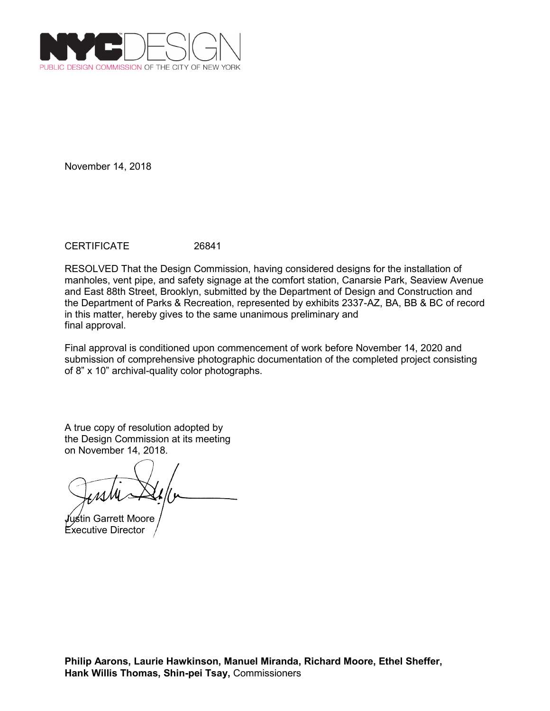

CERTIFICATE 26841

RESOLVED That the Design Commission, having considered designs for the installation of manholes, vent pipe, and safety signage at the comfort station, Canarsie Park, Seaview Avenue and East 88th Street, Brooklyn, submitted by the Department of Design and Construction and the Department of Parks & Recreation, represented by exhibits 2337-AZ, BA, BB & BC of record in this matter, hereby gives to the same unanimous preliminary and final approval.

Final approval is conditioned upon commencement of work before November 14, 2020 and submission of comprehensive photographic documentation of the completed project consisting of 8" x 10" archival-quality color photographs.

Justin Garrett Moore Executive Director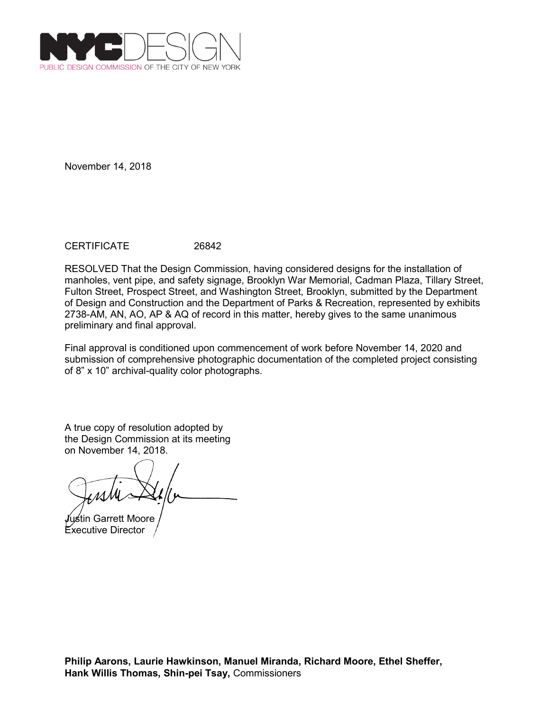

CERTIFICATE 26842

RESOLVED That the Design Commission, having considered designs for the installation of manholes, vent pipe, and safety signage, Brooklyn War Memorial, Cadman Plaza, Tillary Street, Fulton Street, Prospect Street, and Washington Street, Brooklyn, submitted by the Department of Design and Construction and the Department of Parks & Recreation, represented by exhibits 2738-AM, AN, AO, AP & AQ of record in this matter, hereby gives to the same unanimous preliminary and final approval.

Final approval is conditioned upon commencement of work before November 14, 2020 and submission of comprehensive photographic documentation of the completed project consisting of 8" x 10" archival-quality color photographs.

Justin Garrett Moore Executive Director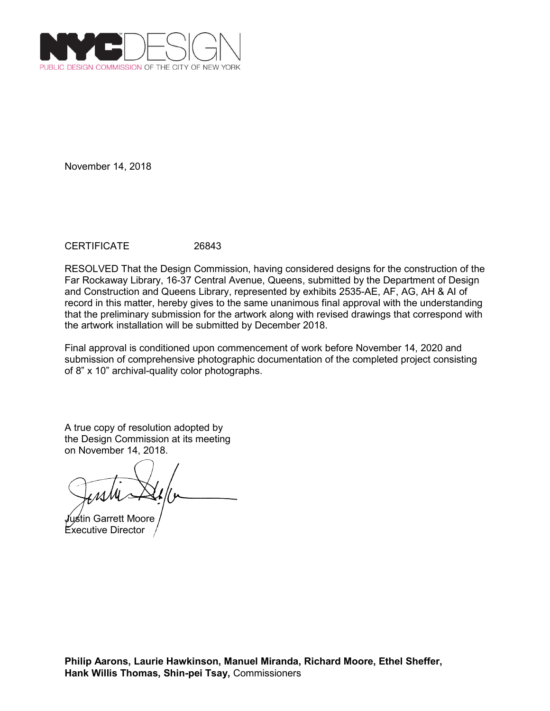

## CERTIFICATE 26843

RESOLVED That the Design Commission, having considered designs for the construction of the Far Rockaway Library, 16-37 Central Avenue, Queens, submitted by the Department of Design and Construction and Queens Library, represented by exhibits 2535-AE, AF, AG, AH & AI of record in this matter, hereby gives to the same unanimous final approval with the understanding that the preliminary submission for the artwork along with revised drawings that correspond with the artwork installation will be submitted by December 2018.

Final approval is conditioned upon commencement of work before November 14, 2020 and submission of comprehensive photographic documentation of the completed project consisting of 8" x 10" archival-quality color photographs.

Justin Garrett Moore Executive Director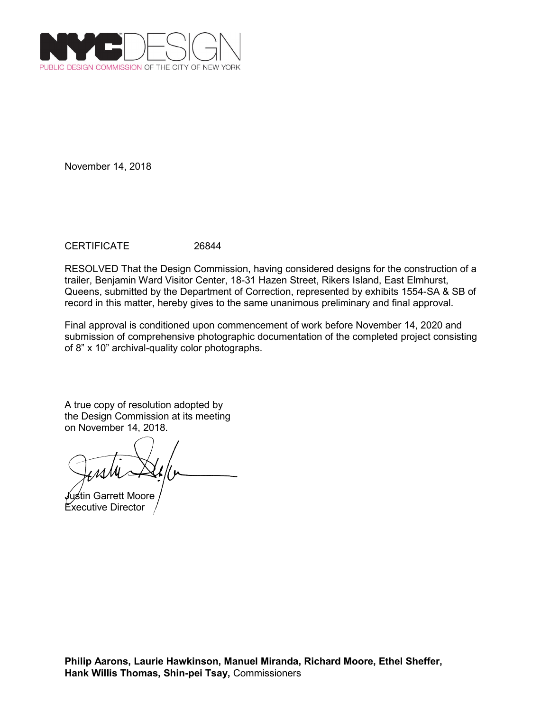

CERTIFICATE 26844

RESOLVED That the Design Commission, having considered designs for the construction of a trailer, Benjamin Ward Visitor Center, 18-31 Hazen Street, Rikers Island, East Elmhurst, Queens, submitted by the Department of Correction, represented by exhibits 1554-SA & SB of record in this matter, hereby gives to the same unanimous preliminary and final approval.

Final approval is conditioned upon commencement of work before November 14, 2020 and submission of comprehensive photographic documentation of the completed project consisting of 8" x 10" archival-quality color photographs.

Justin Garrett Moore Executive Director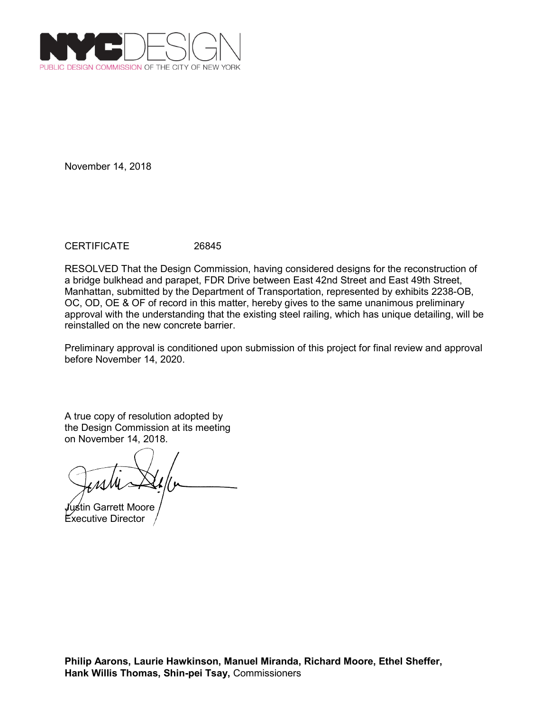

CERTIFICATE 26845

RESOLVED That the Design Commission, having considered designs for the reconstruction of a bridge bulkhead and parapet, FDR Drive between East 42nd Street and East 49th Street, Manhattan, submitted by the Department of Transportation, represented by exhibits 2238-OB, OC, OD, OE & OF of record in this matter, hereby gives to the same unanimous preliminary approval with the understanding that the existing steel railing, which has unique detailing, will be reinstalled on the new concrete barrier.

Preliminary approval is conditioned upon submission of this project for final review and approval before November 14, 2020.

Justin Garrett Moore Executive Director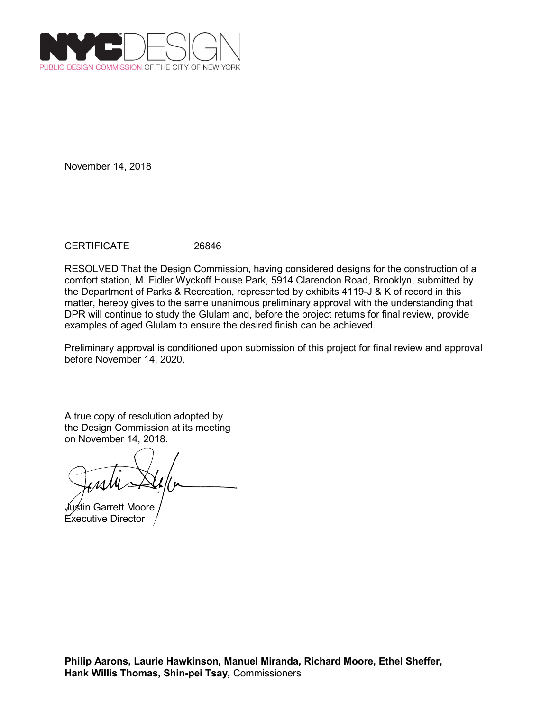

CERTIFICATE 26846

RESOLVED That the Design Commission, having considered designs for the construction of a comfort station, M. Fidler Wyckoff House Park, 5914 Clarendon Road, Brooklyn, submitted by the Department of Parks & Recreation, represented by exhibits 4119-J & K of record in this matter, hereby gives to the same unanimous preliminary approval with the understanding that DPR will continue to study the Glulam and, before the project returns for final review, provide examples of aged Glulam to ensure the desired finish can be achieved.

Preliminary approval is conditioned upon submission of this project for final review and approval before November 14, 2020.

Justin Garrett Moore Executive Director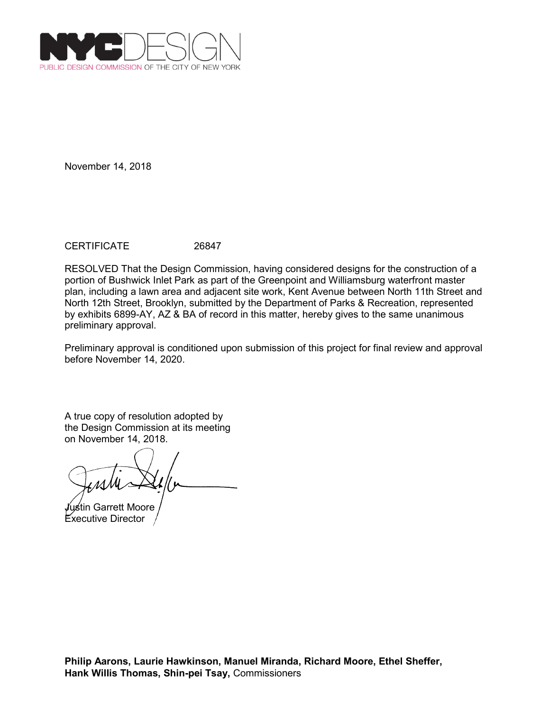

CERTIFICATE 26847

RESOLVED That the Design Commission, having considered designs for the construction of a portion of Bushwick Inlet Park as part of the Greenpoint and Williamsburg waterfront master plan, including a lawn area and adjacent site work, Kent Avenue between North 11th Street and North 12th Street, Brooklyn, submitted by the Department of Parks & Recreation, represented by exhibits 6899-AY, AZ & BA of record in this matter, hereby gives to the same unanimous preliminary approval.

Preliminary approval is conditioned upon submission of this project for final review and approval before November 14, 2020.

Justin Garrett Moore Executive Director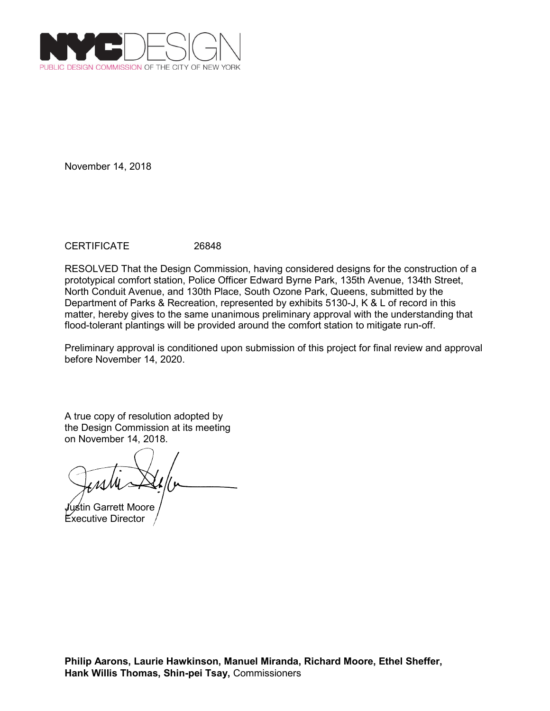

## CERTIFICATE 26848

RESOLVED That the Design Commission, having considered designs for the construction of a prototypical comfort station, Police Officer Edward Byrne Park, 135th Avenue, 134th Street, North Conduit Avenue, and 130th Place, South Ozone Park, Queens, submitted by the Department of Parks & Recreation, represented by exhibits 5130-J, K & L of record in this matter, hereby gives to the same unanimous preliminary approval with the understanding that flood-tolerant plantings will be provided around the comfort station to mitigate run-off.

Preliminary approval is conditioned upon submission of this project for final review and approval before November 14, 2020.

Justin Garrett Moore Executive Director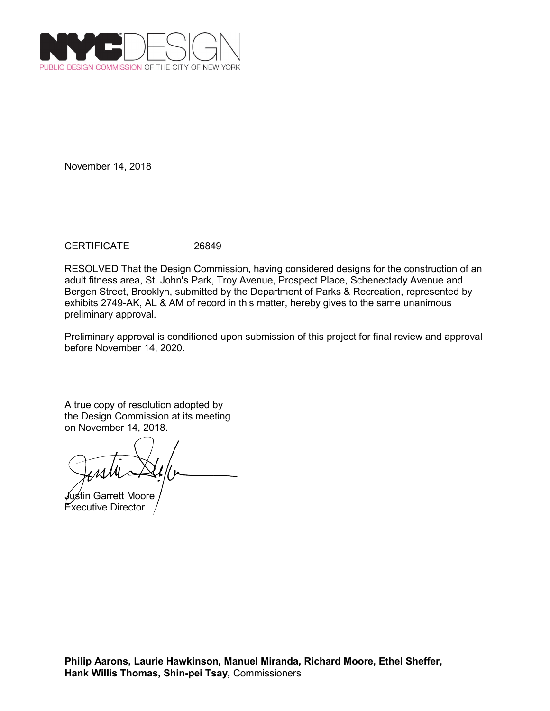

CERTIFICATE 26849

RESOLVED That the Design Commission, having considered designs for the construction of an adult fitness area, St. John's Park, Troy Avenue, Prospect Place, Schenectady Avenue and Bergen Street, Brooklyn, submitted by the Department of Parks & Recreation, represented by exhibits 2749-AK, AL & AM of record in this matter, hereby gives to the same unanimous preliminary approval.

Preliminary approval is conditioned upon submission of this project for final review and approval before November 14, 2020.

Justin Garrett Moore Executive Director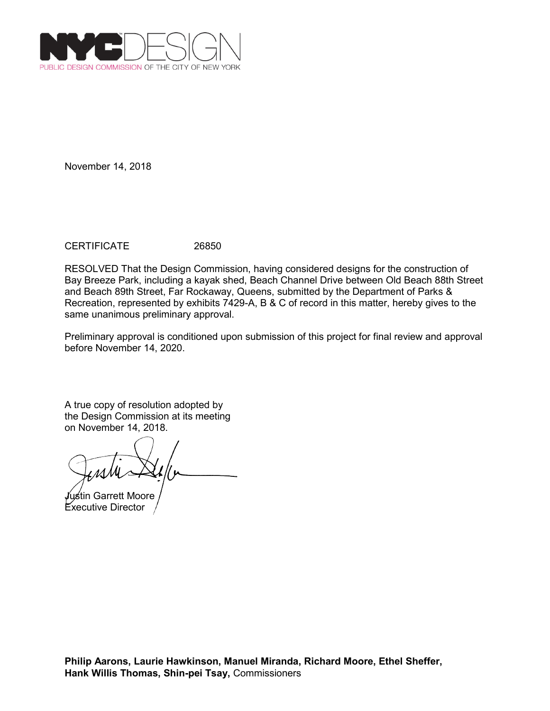

CERTIFICATE 26850

RESOLVED That the Design Commission, having considered designs for the construction of Bay Breeze Park, including a kayak shed, Beach Channel Drive between Old Beach 88th Street and Beach 89th Street, Far Rockaway, Queens, submitted by the Department of Parks & Recreation, represented by exhibits 7429-A, B & C of record in this matter, hereby gives to the same unanimous preliminary approval.

Preliminary approval is conditioned upon submission of this project for final review and approval before November 14, 2020.

Justin Garrett Moore Executive Director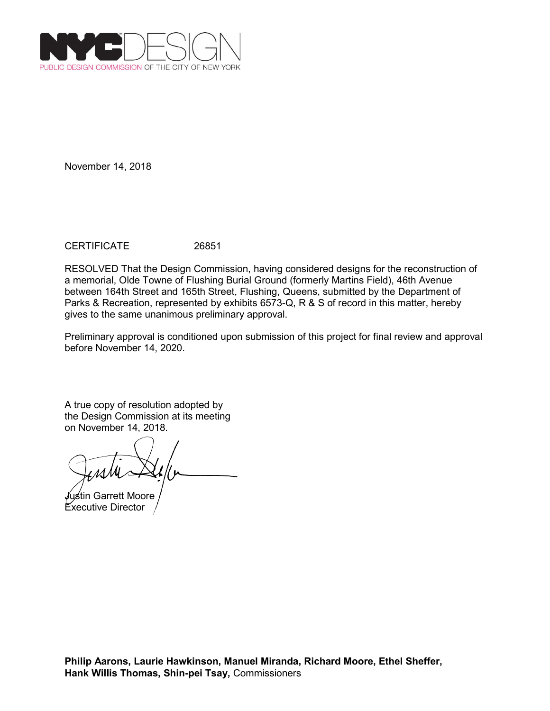

CERTIFICATE 26851

RESOLVED That the Design Commission, having considered designs for the reconstruction of a memorial, Olde Towne of Flushing Burial Ground (formerly Martins Field), 46th Avenue between 164th Street and 165th Street, Flushing, Queens, submitted by the Department of Parks & Recreation, represented by exhibits 6573-Q, R & S of record in this matter, hereby gives to the same unanimous preliminary approval.

Preliminary approval is conditioned upon submission of this project for final review and approval before November 14, 2020.

Justin Garrett Moore Executive Director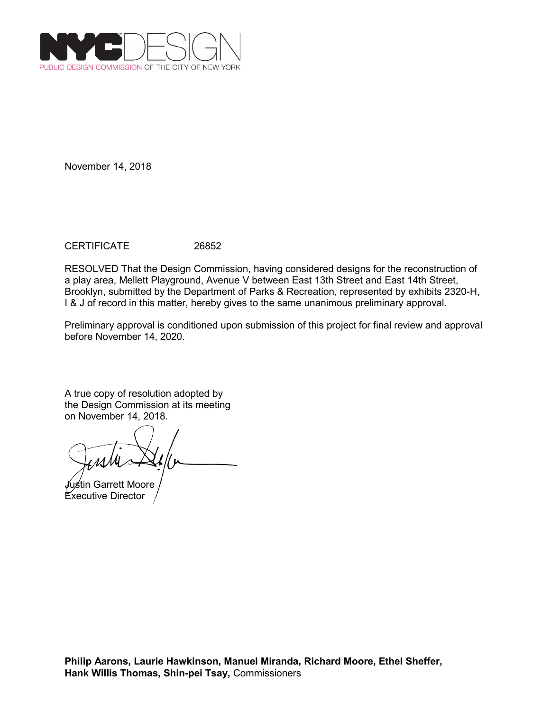

CERTIFICATE 26852

RESOLVED That the Design Commission, having considered designs for the reconstruction of a play area, Mellett Playground, Avenue V between East 13th Street and East 14th Street, Brooklyn, submitted by the Department of Parks & Recreation, represented by exhibits 2320-H, I & J of record in this matter, hereby gives to the same unanimous preliminary approval.

Preliminary approval is conditioned upon submission of this project for final review and approval before November 14, 2020.

Justin Garrett Moore Executive Director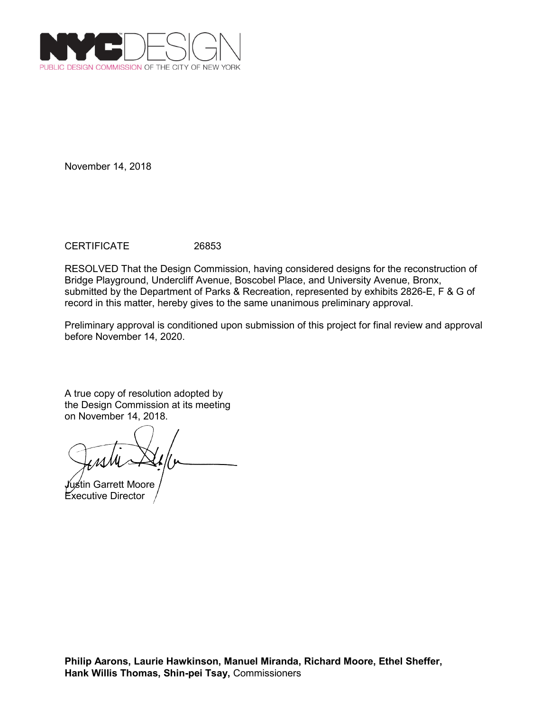

CERTIFICATE 26853

RESOLVED That the Design Commission, having considered designs for the reconstruction of Bridge Playground, Undercliff Avenue, Boscobel Place, and University Avenue, Bronx, submitted by the Department of Parks & Recreation, represented by exhibits 2826-E, F & G of record in this matter, hereby gives to the same unanimous preliminary approval.

Preliminary approval is conditioned upon submission of this project for final review and approval before November 14, 2020.

Justin Garrett Moore Executive Director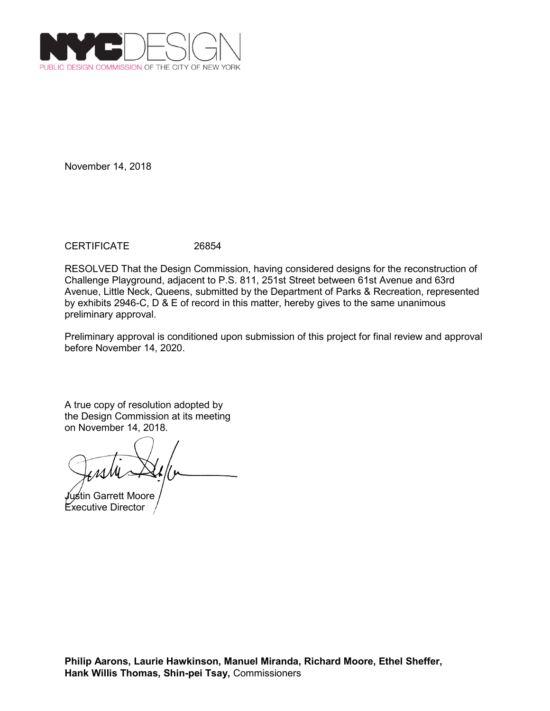

CERTIFICATE 26854

RESOLVED That the Design Commission, having considered designs for the reconstruction of Challenge Playground, adjacent to P.S. 811, 251st Street between 61st Avenue and 63rd Avenue, Little Neck, Queens, submitted by the Department of Parks & Recreation, represented by exhibits 2946-C, D & E of record in this matter, hereby gives to the same unanimous preliminary approval.

Preliminary approval is conditioned upon submission of this project for final review and approval before November 14, 2020.

Justin Garrett Moore Executive Director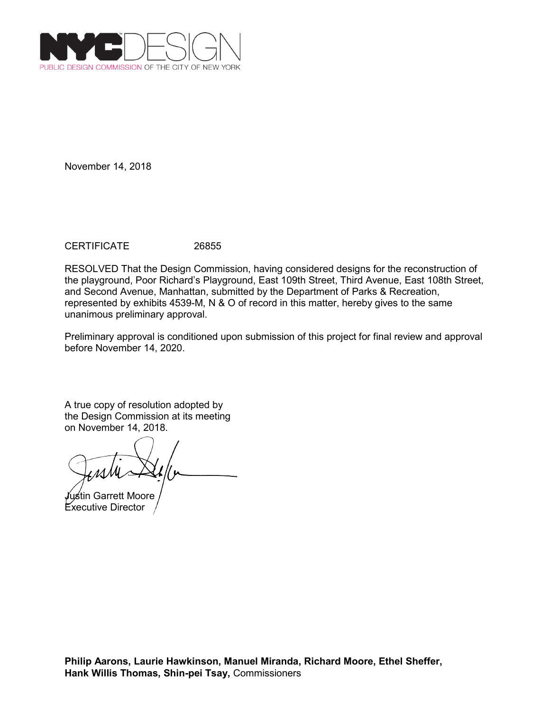

CERTIFICATE 26855

RESOLVED That the Design Commission, having considered designs for the reconstruction of the playground, Poor Richard's Playground, East 109th Street, Third Avenue, East 108th Street, and Second Avenue, Manhattan, submitted by the Department of Parks & Recreation, represented by exhibits 4539-M, N & O of record in this matter, hereby gives to the same unanimous preliminary approval.

Preliminary approval is conditioned upon submission of this project for final review and approval before November 14, 2020.

Justin Garrett Moore Executive Director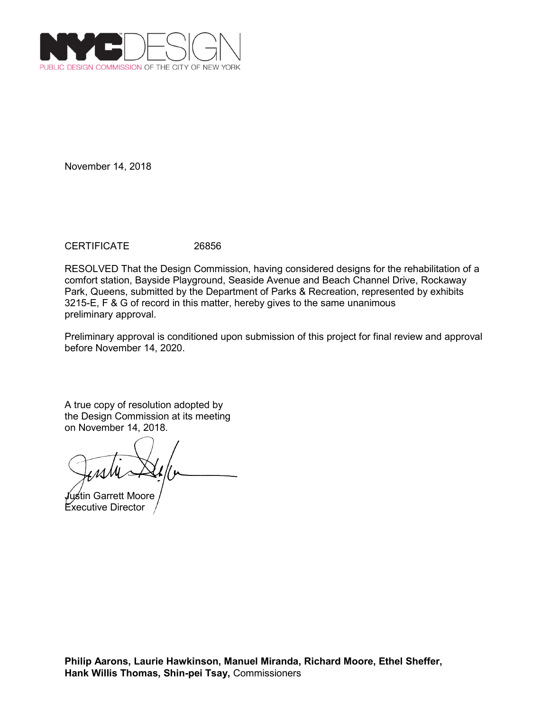

CERTIFICATE 26856

RESOLVED That the Design Commission, having considered designs for the rehabilitation of a comfort station, Bayside Playground, Seaside Avenue and Beach Channel Drive, Rockaway Park, Queens, submitted by the Department of Parks & Recreation, represented by exhibits 3215-E, F & G of record in this matter, hereby gives to the same unanimous preliminary approval.

Preliminary approval is conditioned upon submission of this project for final review and approval before November 14, 2020.

Justin Garrett Moore Executive Director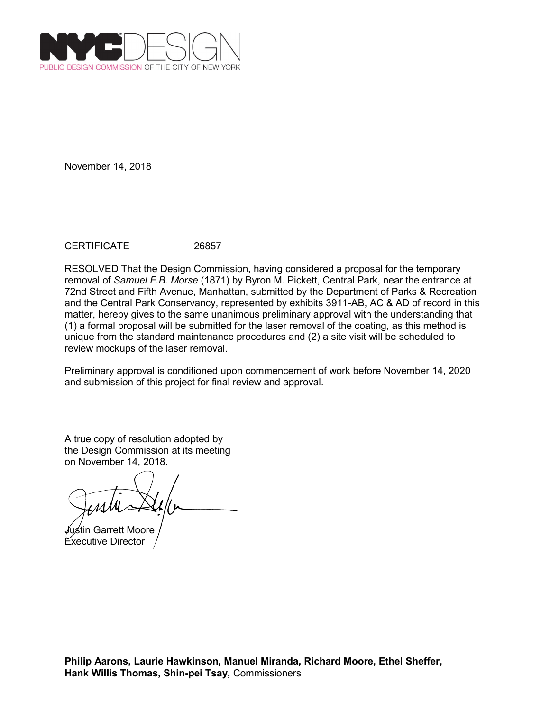

CERTIFICATE 26857

RESOLVED That the Design Commission, having considered a proposal for the temporary removal of *Samuel F.B. Morse* (1871) by Byron M. Pickett, Central Park, near the entrance at 72nd Street and Fifth Avenue, Manhattan, submitted by the Department of Parks & Recreation and the Central Park Conservancy, represented by exhibits 3911-AB, AC & AD of record in this matter, hereby gives to the same unanimous preliminary approval with the understanding that (1) a formal proposal will be submitted for the laser removal of the coating, as this method is unique from the standard maintenance procedures and (2) a site visit will be scheduled to review mockups of the laser removal.

Preliminary approval is conditioned upon commencement of work before November 14, 2020 and submission of this project for final review and approval.

Justin Garrett Moore Executive Director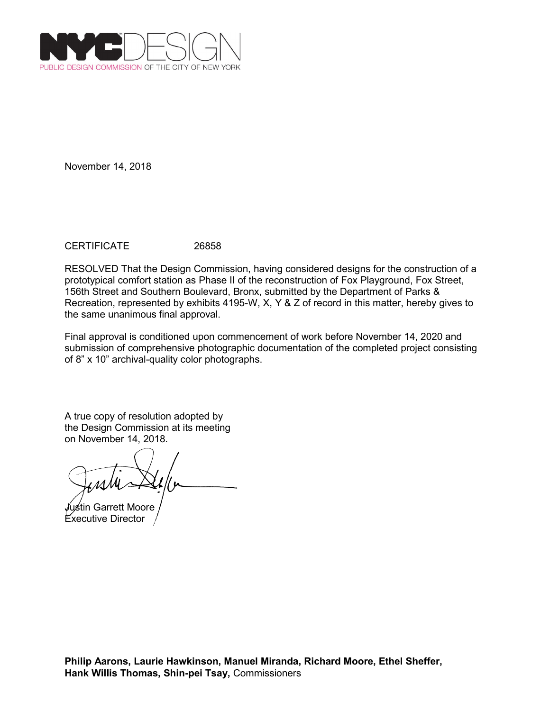

CERTIFICATE 26858

RESOLVED That the Design Commission, having considered designs for the construction of a prototypical comfort station as Phase II of the reconstruction of Fox Playground, Fox Street, 156th Street and Southern Boulevard, Bronx, submitted by the Department of Parks & Recreation, represented by exhibits 4195-W, X, Y & Z of record in this matter, hereby gives to the same unanimous final approval.

Final approval is conditioned upon commencement of work before November 14, 2020 and submission of comprehensive photographic documentation of the completed project consisting of 8" x 10" archival-quality color photographs.

Justin Garrett Moore Executive Director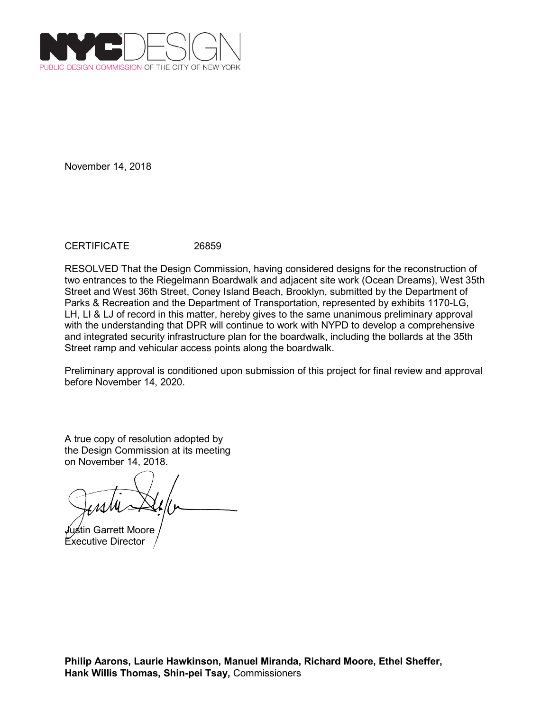

CERTIFICATE 26859

RESOLVED That the Design Commission, having considered designs for the reconstruction of two entrances to the Riegelmann Boardwalk and adjacent site work (Ocean Dreams), West 35th Street and West 36th Street, Coney Island Beach, Brooklyn, submitted by the Department of Parks & Recreation and the Department of Transportation, represented by exhibits 1170-LG, LH, LI & LJ of record in this matter, hereby gives to the same unanimous preliminary approval with the understanding that DPR will continue to work with NYPD to develop a comprehensive and integrated security infrastructure plan for the boardwalk, including the bollards at the 35th Street ramp and vehicular access points along the boardwalk.

Preliminary approval is conditioned upon submission of this project for final review and approval before November 14, 2020.

Justin Garrett Moore Executive Director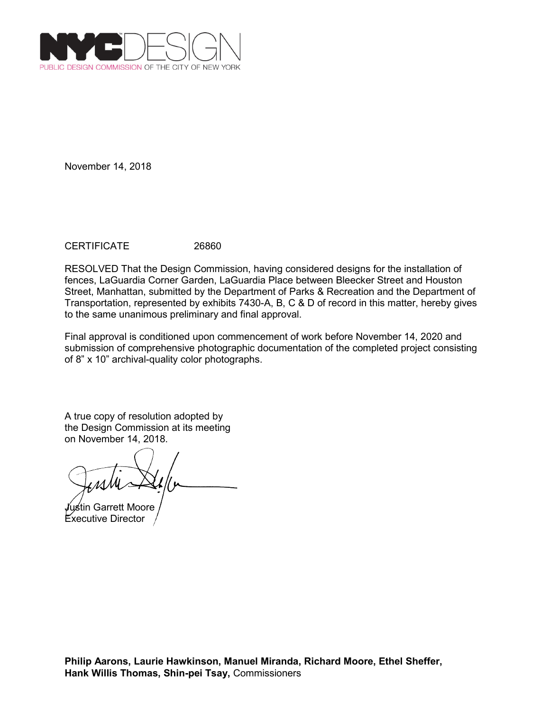

CERTIFICATE 26860

RESOLVED That the Design Commission, having considered designs for the installation of fences, LaGuardia Corner Garden, LaGuardia Place between Bleecker Street and Houston Street, Manhattan, submitted by the Department of Parks & Recreation and the Department of Transportation, represented by exhibits 7430-A, B, C & D of record in this matter, hereby gives to the same unanimous preliminary and final approval.

Final approval is conditioned upon commencement of work before November 14, 2020 and submission of comprehensive photographic documentation of the completed project consisting of 8" x 10" archival-quality color photographs.

Justin Garrett Moore Executive Director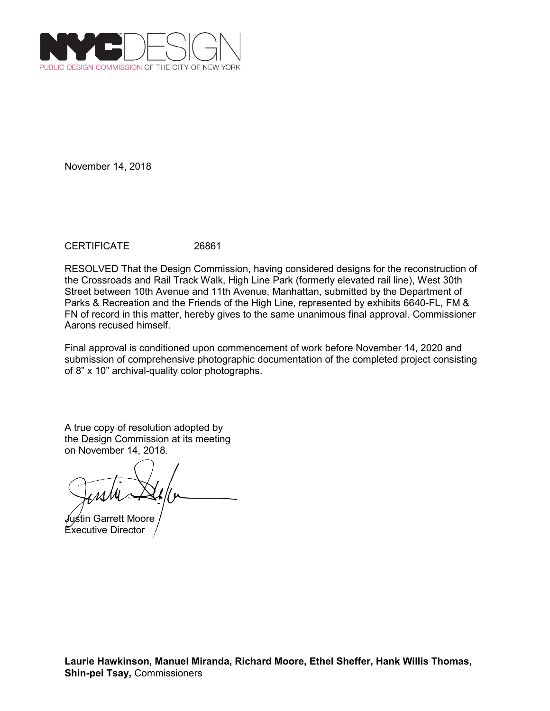

CERTIFICATE 26861

RESOLVED That the Design Commission, having considered designs for the reconstruction of the Crossroads and Rail Track Walk, High Line Park (formerly elevated rail line), West 30th Street between 10th Avenue and 11th Avenue, Manhattan, submitted by the Department of Parks & Recreation and the Friends of the High Line, represented by exhibits 6640-FL, FM & FN of record in this matter, hereby gives to the same unanimous final approval. Commissioner Aarons recused himself.

Final approval is conditioned upon commencement of work before November 14, 2020 and submission of comprehensive photographic documentation of the completed project consisting of 8" x 10" archival-quality color photographs.

Justin Garrett Moore Executive Director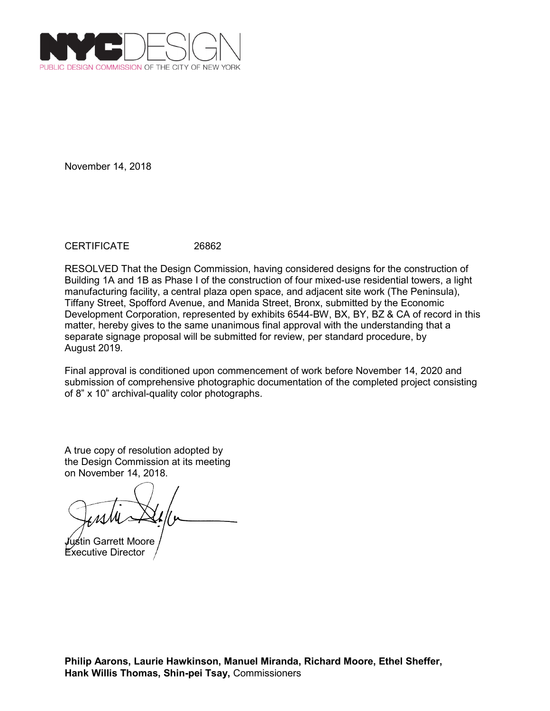

CERTIFICATE 26862

RESOLVED That the Design Commission, having considered designs for the construction of Building 1A and 1B as Phase I of the construction of four mixed-use residential towers, a light manufacturing facility, a central plaza open space, and adjacent site work (The Peninsula), Tiffany Street, Spofford Avenue, and Manida Street, Bronx, submitted by the Economic Development Corporation, represented by exhibits 6544-BW, BX, BY, BZ & CA of record in this matter, hereby gives to the same unanimous final approval with the understanding that a separate signage proposal will be submitted for review, per standard procedure, by August 2019.

Final approval is conditioned upon commencement of work before November 14, 2020 and submission of comprehensive photographic documentation of the completed project consisting of 8" x 10" archival-quality color photographs.

Justin Garrett Moore

Executive Director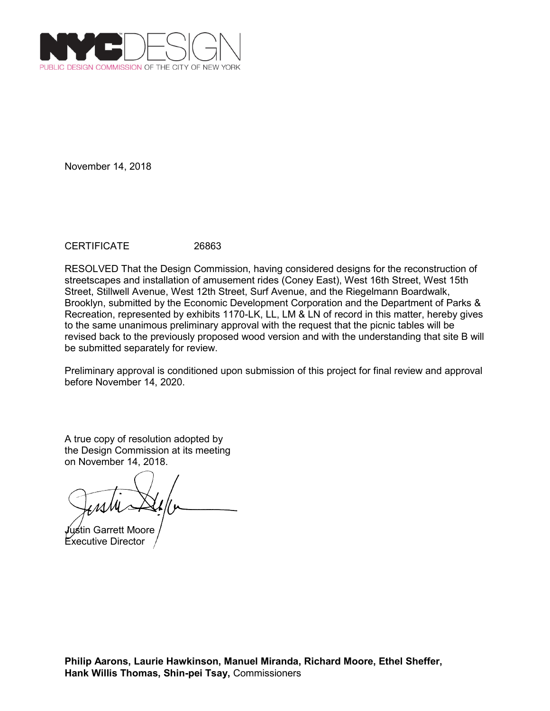

CERTIFICATE 26863

RESOLVED That the Design Commission, having considered designs for the reconstruction of streetscapes and installation of amusement rides (Coney East), West 16th Street, West 15th Street, Stillwell Avenue, West 12th Street, Surf Avenue, and the Riegelmann Boardwalk, Brooklyn, submitted by the Economic Development Corporation and the Department of Parks & Recreation, represented by exhibits 1170-LK, LL, LM & LN of record in this matter, hereby gives to the same unanimous preliminary approval with the request that the picnic tables will be revised back to the previously proposed wood version and with the understanding that site B will be submitted separately for review.

Preliminary approval is conditioned upon submission of this project for final review and approval before November 14, 2020.

Justin Garrett Moore Executive Director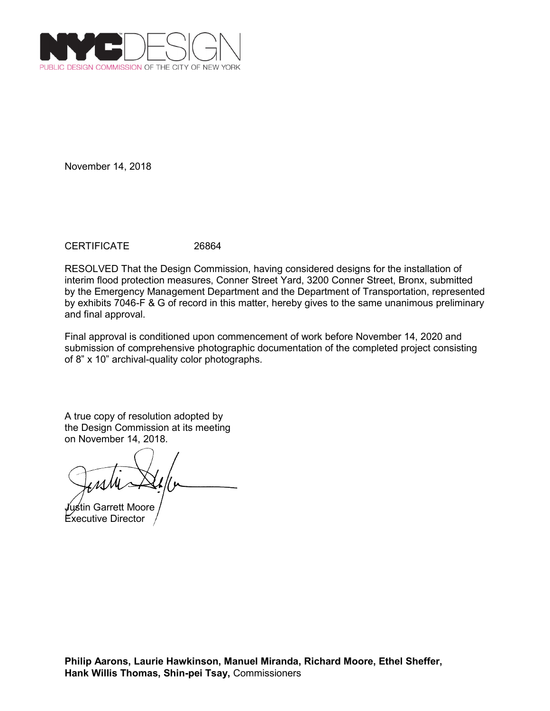

CERTIFICATE 26864

RESOLVED That the Design Commission, having considered designs for the installation of interim flood protection measures, Conner Street Yard, 3200 Conner Street, Bronx, submitted by the Emergency Management Department and the Department of Transportation, represented by exhibits 7046-F & G of record in this matter, hereby gives to the same unanimous preliminary and final approval.

Final approval is conditioned upon commencement of work before November 14, 2020 and submission of comprehensive photographic documentation of the completed project consisting of 8" x 10" archival-quality color photographs.

Justin Garrett Moore Executive Director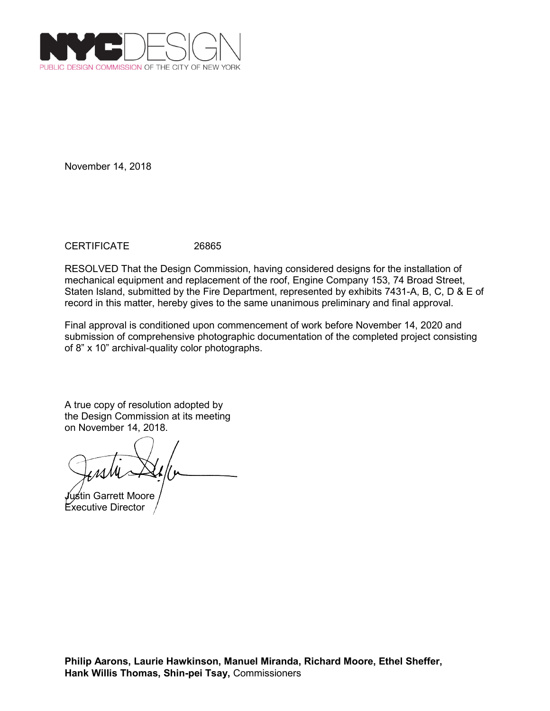

CERTIFICATE 26865

RESOLVED That the Design Commission, having considered designs for the installation of mechanical equipment and replacement of the roof, Engine Company 153, 74 Broad Street, Staten Island, submitted by the Fire Department, represented by exhibits 7431-A, B, C, D & E of record in this matter, hereby gives to the same unanimous preliminary and final approval.

Final approval is conditioned upon commencement of work before November 14, 2020 and submission of comprehensive photographic documentation of the completed project consisting of 8" x 10" archival-quality color photographs.

Justin Garrett Moore Executive Director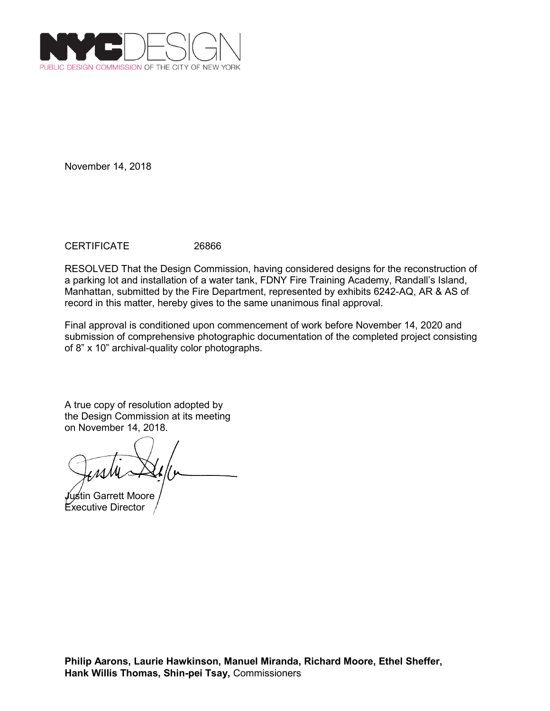

CERTIFICATE 26866

RESOLVED That the Design Commission, having considered designs for the reconstruction of a parking lot and installation of a water tank, FDNY Fire Training Academy, Randall's Island, Manhattan, submitted by the Fire Department, represented by exhibits 6242-AQ, AR & AS of record in this matter, hereby gives to the same unanimous final approval.

Final approval is conditioned upon commencement of work before November 14, 2020 and submission of comprehensive photographic documentation of the completed project consisting of 8" x 10" archival-quality color photographs.

Justin Garrett Moore Executive Director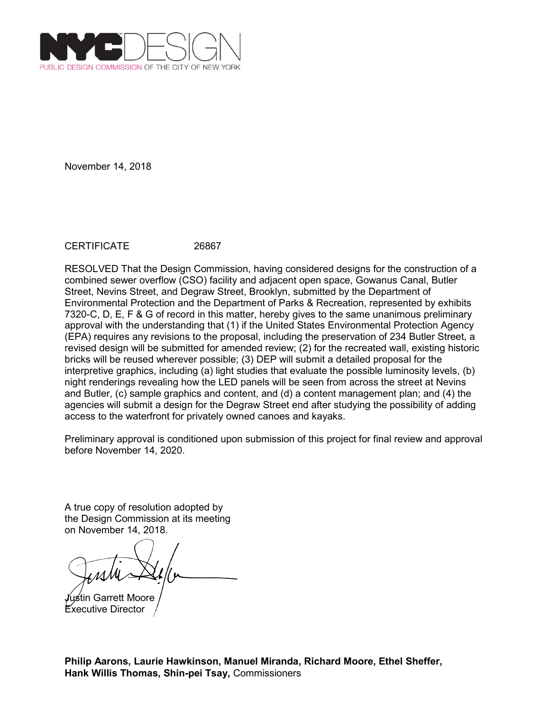

CERTIFICATE 26867

RESOLVED That the Design Commission, having considered designs for the construction of a combined sewer overflow (CSO) facility and adjacent open space, Gowanus Canal, Butler Street, Nevins Street, and Degraw Street, Brooklyn, submitted by the Department of Environmental Protection and the Department of Parks & Recreation, represented by exhibits 7320-C, D, E, F & G of record in this matter, hereby gives to the same unanimous preliminary approval with the understanding that (1) if the United States Environmental Protection Agency (EPA) requires any revisions to the proposal, including the preservation of 234 Butler Street, a revised design will be submitted for amended review; (2) for the recreated wall, existing historic bricks will be reused wherever possible; (3) DEP will submit a detailed proposal for the interpretive graphics, including (a) light studies that evaluate the possible luminosity levels, (b) night renderings revealing how the LED panels will be seen from across the street at Nevins and Butler, (c) sample graphics and content, and (d) a content management plan; and (4) the agencies will submit a design for the Degraw Street end after studying the possibility of adding access to the waterfront for privately owned canoes and kayaks.

Preliminary approval is conditioned upon submission of this project for final review and approval before November 14, 2020.

A true copy of resolution adopted by the Design Commission at its meeting on November 14, 2018.

Justin Garrett Moore Executive Director

**Philip Aarons, Laurie Hawkinson, Manuel Miranda, Richard Moore, Ethel Sheffer, Hank Willis Thomas, Shin-pei Tsay,** Commissioners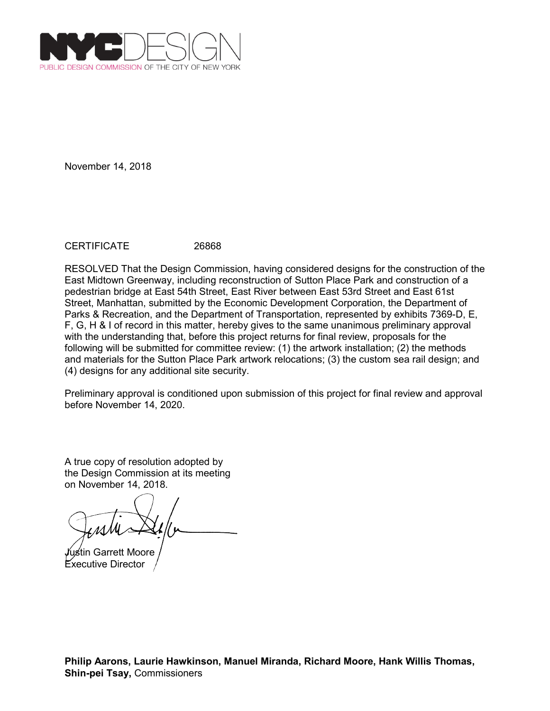

CERTIFICATE 26868

RESOLVED That the Design Commission, having considered designs for the construction of the East Midtown Greenway, including reconstruction of Sutton Place Park and construction of a pedestrian bridge at East 54th Street, East River between East 53rd Street and East 61st Street, Manhattan, submitted by the Economic Development Corporation, the Department of Parks & Recreation, and the Department of Transportation, represented by exhibits 7369-D, E, F, G, H & I of record in this matter, hereby gives to the same unanimous preliminary approval with the understanding that, before this project returns for final review, proposals for the following will be submitted for committee review: (1) the artwork installation; (2) the methods and materials for the Sutton Place Park artwork relocations; (3) the custom sea rail design; and (4) designs for any additional site security.

Preliminary approval is conditioned upon submission of this project for final review and approval before November 14, 2020.

Justin Garrett Moore Executive Director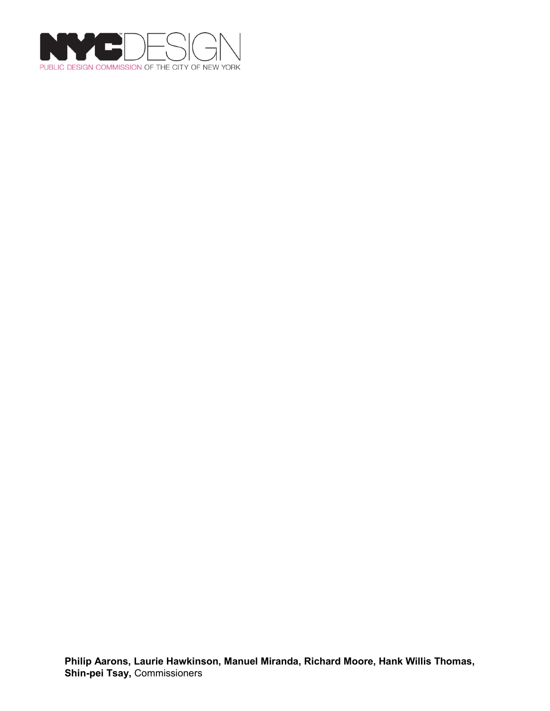